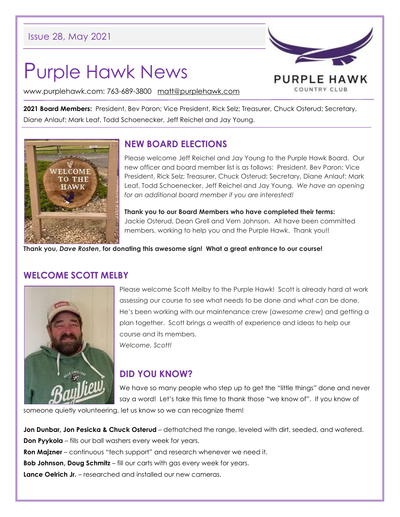# Purple Hawk News

PURPLE HAWK COUNTRY CLUB

www.purplehawk.com: 763-689-3800 [matt@purplehawk.com](mailto:matt@purplehawk.com)

**2021 Board Members:** President, Bev Paron; Vice President, Rick Selz; Treasurer, Chuck Osterud; Secretary, Diane Anlauf; Mark Leaf, Todd Schoenecker, Jeff Reichel and Jay Young.



# **NEW BOARD ELECTIONS**

Please welcome Jeff Reichel and Jay Young to the Purple Hawk Board. Our new officer and board member list is as follows: President, Bev Paron; Vice President, Rick Selz; Treasurer, Chuck Osterud; Secretary, Diane Anlauf; Mark Leaf, Todd Schoenecker, Jeff Reichel and Jay Young. *We have an opening for an additional board member if you are interested!*

**Thank you to our Board Members who have completed their terms:** Jackie Osterud, Dean Grell and Vern Johnson. All have been committed members, working to help you and the Purple Hawk. Thank you!!

**Thank you,** *Dave Rosten***, for donating this awesome sign! What a great entrance to our course!**

#### **WELCOME SCOTT MELBY**



Please welcome Scott Melby to the Purple Hawk! Scott is already hard at work assessing our course to see what needs to be done and what can be done. He's been working with our maintenance crew (*awesome crew*) and getting a plan together. Scott brings a wealth of experience and ideas to help our course and its members. *Welcome, Scott!*

#### **DID YOU KNOW?**

We have so many people who step up to get the "little things" done and never say a word! Let's take this time to thank those "we know of". If you know of

someone quietly volunteering, let us know so we can recognize them!

**Jon Dunbar, Jon Pesicka & Chuck Osterud** – dethatched the range, leveled with dirt, seeded, and watered. **Don Pyykola** – fills our ball washers every week for years. **Ron Majzner** – continuous "tech support" and research whenever we need it. **Bob Johnson, Doug Schmitz** – fill our carts with gas every week for years. **Lance Oelrich Jr.** – researched and installed our new cameras.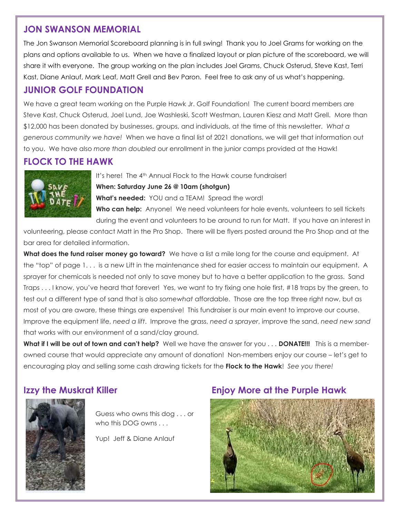## **JON SWANSON MEMORIAL**

The Jon Swanson Memorial Scoreboard planning is in full swing! Thank you to Joel Grams for working on the plans and options available to us. When we have a finalized layout or plan picture of the scoreboard, we will share it with everyone. The group working on the plan includes Joel Grams, Chuck Osterud, Steve Kast, Terri Kast, Diane Anlauf, Mark Leaf, Matt Grell and Bev Paron. Feel free to ask any of us what's happening.

# **JUNIOR GOLF FOUNDATION**

We have a great team working on the Purple Hawk Jr. Golf Foundation! The current board members are Steve Kast, Chuck Osterud, Joel Lund, Joe Washleski, Scott Westman, Lauren Kiesz and Matt Grell. More than \$12,000 has been donated by businesses, groups, and individuals, at the time of this newsletter. *What a generous community we have!* When we have a final list of 2021 donations, we will get that information out to you. We have also *more than doubled* our enrollment in the junior camps provided at the Hawk!

# **FLOCK TO THE HAWK**



It's here! The 4<sup>th</sup> Annual Flock to the Hawk course fundraiser! **When: Saturday June 26 @ 10am (shotgun) What's needed:** YOU and a TEAM! Spread the word! **Who can help:** Anyone! We need volunteers for hole events, volunteers to sell tickets during the event and volunteers to be around to run for Matt. If you have an interest in

volunteering, please contact Matt in the Pro Shop. There will be flyers posted around the Pro Shop and at the bar area for detailed information.

**What does the fund raiser money go toward?** We have a list a mile long for the course and equipment. At the "top" of page 1. . . is a new Lift in the maintenance shed for easier access to maintain our equipment. A sprayer for chemicals is needed not only to save money but to have a better application to the grass. Sand Traps . . . I know, you've heard that forever! Yes, we want to try fixing one hole first, #18 traps by the green, to test out a different type of sand that is also *somewhat* affordable. Those are the top three right now, but as most of you are aware, these things are expensive! This fundraiser is our main event to improve our course. Improve the equipment life, *need a lift*. Improve the grass, *need a sprayer*, improve the sand, *need new sand* that works with our environment of a sand/clay ground.

**What if I will be out of town and can't help?** Well we have the answer for you . . . **DONATE!!!** This is a memberowned course that would appreciate any amount of donation! Non-members enjoy our course – let's get to encouraging play and selling some cash drawing tickets for the **Flock to the Hawk**! *See you there!*



Guess who owns this dog . . . or who this DOG owns . . .

Yup! Jeff & Diane Anlauf

# **Izzy the Muskrat Killer Theory Accepts Enjoy More at the Purple Hawk**